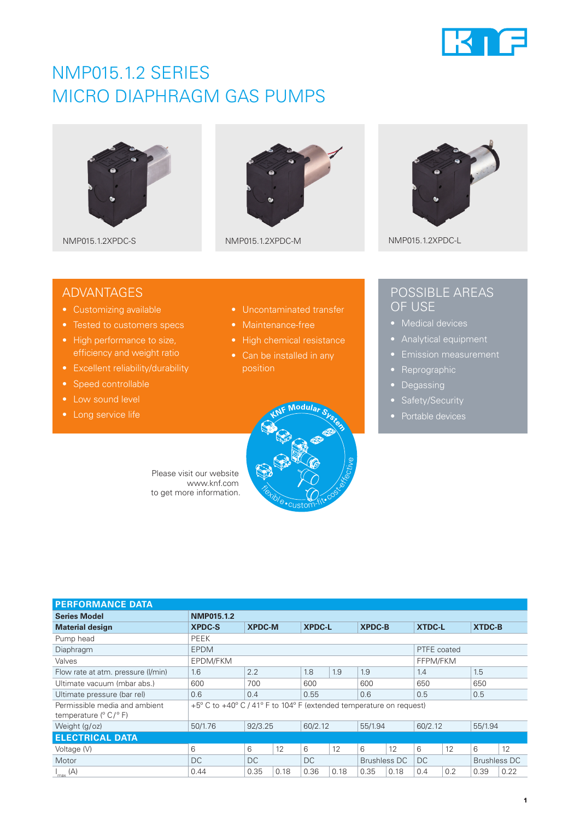

# NMP015.1.2 SERIES MICRO DIAPHRAGM GAS PUMPS







NMP015.1.2XPDC-S NMP015.1.2XPDC-M NMP015.1.2XPDC-L

## ADVANTAGES

- Customizing available
- 
- High performance to size, efficiency and weight ratio
- Excellent reliability/durability
- Speed controllable
- Low sound level
- 
- Uncontaminated transfer
- 
- 
- position



## POSSIBLE AREAS OF USE

- 
- 
- 
- Reprographic
- Degassing
- 
- 

Please visit our website www.knf.com to get more information.

| <b>PERFORMANCE DATA</b>                                                   |                                                                     |               |      |               |      |                     |      |               |     |               |                     |
|---------------------------------------------------------------------------|---------------------------------------------------------------------|---------------|------|---------------|------|---------------------|------|---------------|-----|---------------|---------------------|
| <b>Series Model</b>                                                       | NMP015.1.2                                                          |               |      |               |      |                     |      |               |     |               |                     |
| <b>Material design</b>                                                    | <b>XPDC-S</b>                                                       | <b>XPDC-M</b> |      | <b>XPDC-L</b> |      | <b>XPDC-B</b>       |      | <b>XTDC-L</b> |     | <b>XTDC-B</b> |                     |
| Pump head                                                                 | PEEK                                                                |               |      |               |      |                     |      |               |     |               |                     |
| Diaphragm                                                                 | <b>EPDM</b>                                                         | PTFE coated   |      |               |      |                     |      |               |     |               |                     |
| Valves                                                                    | EPDM/FKM<br>FFPM/FKM                                                |               |      |               |      |                     |      |               |     |               |                     |
| Flow rate at atm. pressure (I/min)                                        | 1.6                                                                 | 2.2           |      | 1.8           | 1.9  | 1.9                 |      | 1.4           |     | 1.5           |                     |
| Ultimate vacuum (mbar abs.)                                               | 600                                                                 | 700           |      | 600           |      | 600                 |      | 650           |     | 650           |                     |
| Ultimate pressure (bar rel)                                               | 0.6                                                                 | 0.4           |      | 0.55          |      | 0.6                 |      | 0.5           |     | 0.5           |                     |
| Permissible media and ambient<br>temperature $(^{\circ}$ C/ $^{\circ}$ F) | +5° C to +40° C / 41° F to 104° F (extended temperature on request) |               |      |               |      |                     |      |               |     |               |                     |
| Weight (g/oz)                                                             | 50/1.76                                                             | 92/3.25       |      | 60/2.12       |      | 55/1.94             |      | 60/2.12       |     | 55/1.94       |                     |
| <b>ELECTRICAL DATA</b>                                                    |                                                                     |               |      |               |      |                     |      |               |     |               |                     |
| Voltage (V)                                                               | 6                                                                   | 6             | 12   | 6             | 12   | 6                   | 12   | 6             | 12  | 6             | 12                  |
| Motor                                                                     | DC                                                                  | DC            |      | DC            |      | <b>Brushless DC</b> |      | DC.           |     |               | <b>Brushless DC</b> |
| $I_{\text{max}}(A)$                                                       | 0.44                                                                | 0.35          | 0.18 | 0.36          | 0.18 | 0.35                | 0.18 | 0.4           | 0.2 | 0.39          | 0.22                |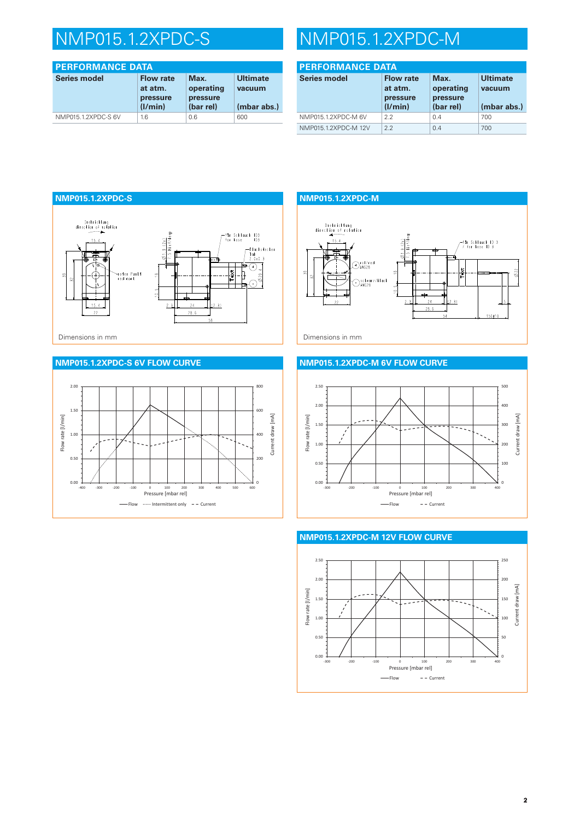| <b>PERFORMANCE DATA</b> |                                                    |                                            |                                          |  |  |
|-------------------------|----------------------------------------------------|--------------------------------------------|------------------------------------------|--|--|
| <b>Series model</b>     | <b>Flow rate</b><br>at atm.<br>pressure<br>(1/min) | Max.<br>operating<br>pressure<br>(bar rel) | <b>Ultimate</b><br>vacuum<br>(mbar abs.) |  |  |
| NMP015.1.2XPDC-S 6V     | 1.6                                                | 0.6                                        | 600                                      |  |  |

# NMP015.1.2XPDC-S NMP015.1.2XPDC-M

| <b>PERFORMANCE DATA</b> |                                                    |                                            |                                          |  |  |
|-------------------------|----------------------------------------------------|--------------------------------------------|------------------------------------------|--|--|
| <b>Series model</b>     | <b>Flow rate</b><br>at atm.<br>pressure<br>(1/min) | Max.<br>operating<br>pressure<br>(bar rel) | <b>Ultimate</b><br>vacuum<br>(mbar abs.) |  |  |
| NMP015.1.2XPDC-M 6V     | 22                                                 | 0.4                                        | 700                                      |  |  |
| NMP015.1.2XPDC-M 12V    | 2.2                                                | 0.4                                        | 700                                      |  |  |



### **NMP015.1.2XPDC-S 6V FLOW CURVE**



**NMP015.1.2XPDC-M** Drehrichtung<br>direction of rotation  $\frac{51.9 \, (2x)}{5 \, \text{Heff} \, \text{Heff}}$  $15.4$ -für Schlauch ID 3<br>/ for hose ID 3  $\bigodot_{\text{AWG28}}^{\text{rot/red}}$ ¦≹  $\delta$ 22 Schwarz/black<br>CAWG28  $\frac{1}{2}$  $2.3$  $24$  $\left[\right]_{(2,3)}$  $28.6$ 54  $150 + 10$ 

### **NMP015.1.2XPDC-M 6V FLOW CURVE**





#### **NMP015.1.2XPDC-M 12V FLOW CURVE**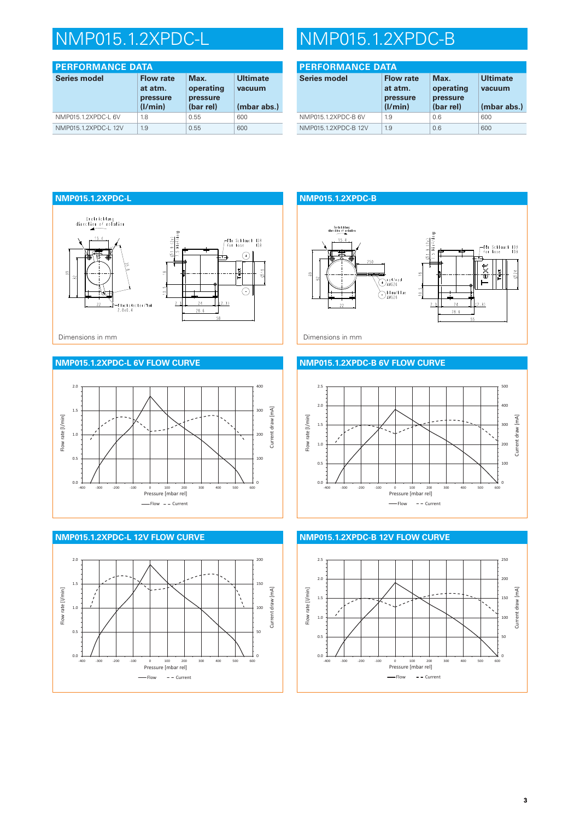| <b>PERFORMANCE DATA</b> |                                                    |                                            |                                          |  |  |
|-------------------------|----------------------------------------------------|--------------------------------------------|------------------------------------------|--|--|
| <b>Series model</b>     | <b>Flow rate</b><br>at atm.<br>pressure<br>(I/min) | Max.<br>operating<br>pressure<br>(bar rel) | <b>Ultimate</b><br>vacuum<br>(mbar abs.) |  |  |
| NMP015.1.2XPDC-L 6V     | 1.8                                                | 0.55                                       | 600                                      |  |  |
| NMP015.1.2XPDC-L 12V    | 1.9                                                | 0.55                                       | 600                                      |  |  |

# NMP015.1.2XPDC-L NMP015.1.2XPDC-B

| <b>PERFORMANCE DATA</b> |                                                    |                                            |                                          |  |  |
|-------------------------|----------------------------------------------------|--------------------------------------------|------------------------------------------|--|--|
| <b>Series model</b>     | <b>Flow rate</b><br>at atm.<br>pressure<br>(1/min) | Max.<br>operating<br>pressure<br>(bar rel) | <b>Ultimate</b><br>vacuum<br>(mbar abs.) |  |  |
| NMP015.1.2XPDC-B 6V     | 1.9                                                | 0.6                                        | 600                                      |  |  |
| NMP015.1.2XPDC-B 12V    | 1.9                                                | 0.6                                        | 600                                      |  |  |



### **NMP015.1.2XPDC-L 6V FLOW CURVE**





## **NMP015.1.2XPDC-B** .<br>Drehrichtung<br>ection of roto Für Schlauch ID3<br>| for hose ID3  $\frac{1}{2}$ Orof/red blau/blue<br>Awg26  $10-5$  $2.3$  $24$  $(2.3)$  $28.6$

#### **NMP015.1.2XPDC-B 6V FLOW CURVE**





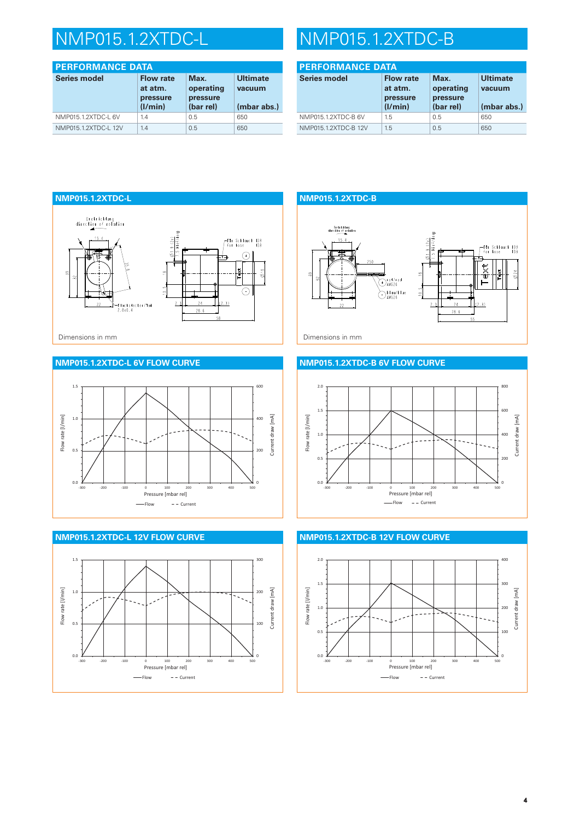| <b>PERFORMANCE DATA</b> |                                                    |                                            |                                          |  |  |
|-------------------------|----------------------------------------------------|--------------------------------------------|------------------------------------------|--|--|
| <b>Series model</b>     | <b>Flow rate</b><br>at atm.<br>pressure<br>(I/min) | Max.<br>operating<br>pressure<br>(bar rel) | <b>Ultimate</b><br>vacuum<br>(mbar abs.) |  |  |
| NMP015.1.2XTDC-L 6V     | 1.4                                                | 0.5                                        | 650                                      |  |  |
| NMP015.1.2XTDC-L 12V    | 1.4                                                | 0.5                                        | 650                                      |  |  |

# NMP015.1.2XTDC-L NMP015.1.2XTDC-B

| <b>PERFORMANCE DATA</b> |                                                    |                                            |                                          |  |  |
|-------------------------|----------------------------------------------------|--------------------------------------------|------------------------------------------|--|--|
| <b>Series model</b>     | <b>Flow rate</b><br>at atm.<br>pressure<br>(1/min) | Max.<br>operating<br>pressure<br>(bar rel) | <b>Ultimate</b><br>vacuum<br>(mbar abs.) |  |  |
| NMP015.1.2XTDC-B 6V     | 1.5                                                | 0.5                                        | 650                                      |  |  |
| NMP015.1.2XTDC-B 12V    | 1.5                                                | 0.5                                        | 650                                      |  |  |



### **NMP015.1.2XTDC-L 6V FLOW CURVE**





## **NMP015.1.2XTDC-B** .<br>Drehrichtung<br>ection of roto Für Schlauch ID3<br>| for hose ID3 ext Orof/red blau/blue<br>DAWG26  $10-5$  $2.3$  $24$  $(2.3)$  $28.6$

#### **NMP015.1.2XTDC-B 6V FLOW CURVE**





#### **NMP015.1.2XTDC-B 12V FLOW CURVE**

**4**